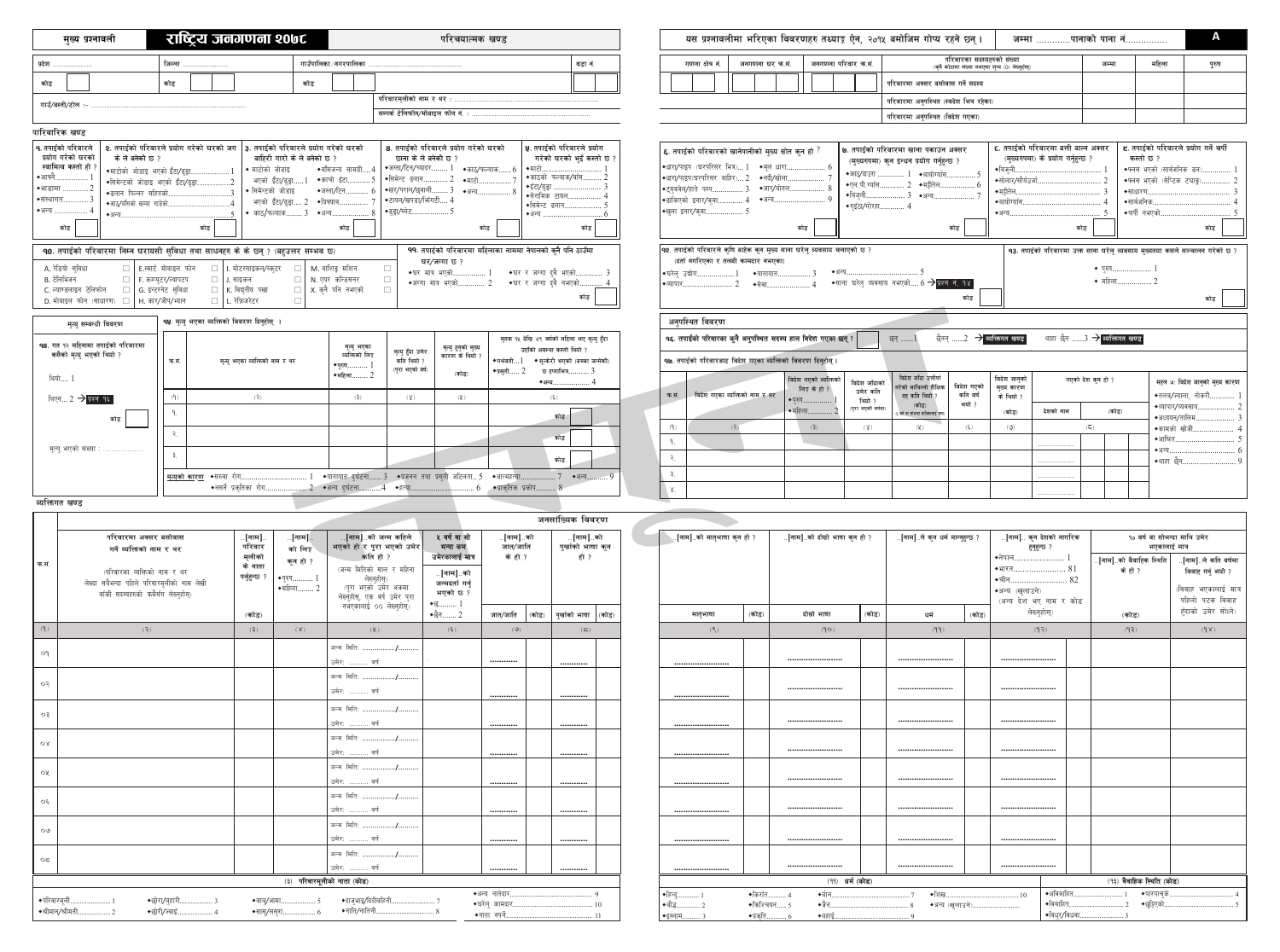|                                                                                                                                                                                                                                                                                                                                                                                                                                                                                                                                                                                                                                                                                                                                                                                                                                                                                                                                                                                                                                                                                                                                                                                                    | राष्ट्रिय जनगणना २०७८<br>परिचयात्मक खण्ड<br>मख्य प्रश्नावली                                                                                                                                                                                                                                                                                                                                                                                                                                                                                   |                                                               |                                                                                                           |                                                                 |                                                                    |                                                                                                                                                                                                                                                                          |                               | A<br>यस प्रश्नावलीमा भरिएका विवरणहरु तथ्याङ्क ऐन, २०१५ बमोजिम गोप्य रहने छ्न् ।<br>जम्मा पानाको पाना नं |                                                                  |                                                                                                                                                                                                                                                     |                                        |                                                                                                                                      |                                                                        |                                                                                                                                                                    |                                                                                                                            |                                                                                                                                                                              |                                                                                                                                    |                                                                                                                                   |                                                                                                                                    |                                                                                                                          |
|----------------------------------------------------------------------------------------------------------------------------------------------------------------------------------------------------------------------------------------------------------------------------------------------------------------------------------------------------------------------------------------------------------------------------------------------------------------------------------------------------------------------------------------------------------------------------------------------------------------------------------------------------------------------------------------------------------------------------------------------------------------------------------------------------------------------------------------------------------------------------------------------------------------------------------------------------------------------------------------------------------------------------------------------------------------------------------------------------------------------------------------------------------------------------------------------------|-----------------------------------------------------------------------------------------------------------------------------------------------------------------------------------------------------------------------------------------------------------------------------------------------------------------------------------------------------------------------------------------------------------------------------------------------------------------------------------------------------------------------------------------------|---------------------------------------------------------------|-----------------------------------------------------------------------------------------------------------|-----------------------------------------------------------------|--------------------------------------------------------------------|--------------------------------------------------------------------------------------------------------------------------------------------------------------------------------------------------------------------------------------------------------------------------|-------------------------------|---------------------------------------------------------------------------------------------------------|------------------------------------------------------------------|-----------------------------------------------------------------------------------------------------------------------------------------------------------------------------------------------------------------------------------------------------|----------------------------------------|--------------------------------------------------------------------------------------------------------------------------------------|------------------------------------------------------------------------|--------------------------------------------------------------------------------------------------------------------------------------------------------------------|----------------------------------------------------------------------------------------------------------------------------|------------------------------------------------------------------------------------------------------------------------------------------------------------------------------|------------------------------------------------------------------------------------------------------------------------------------|-----------------------------------------------------------------------------------------------------------------------------------|------------------------------------------------------------------------------------------------------------------------------------|--------------------------------------------------------------------------------------------------------------------------|
| गाउँपालिका ∕ नगरपालिका<br>प्रदेश<br>जिल्ला                                                                                                                                                                                                                                                                                                                                                                                                                                                                                                                                                                                                                                                                                                                                                                                                                                                                                                                                                                                                                                                                                                                                                         |                                                                                                                                                                                                                                                                                                                                                                                                                                                                                                                                               |                                                               |                                                                                                           |                                                                 |                                                                    | वडा नं.                                                                                                                                                                                                                                                                  |                               | गणना क्षेत्र नं                                                                                         | जनगणना घर कसं                                                    | जनगणना परिवार क.सं.                                                                                                                                                                                                                                 |                                        |                                                                                                                                      |                                                                        | परिवारका सदस्यहरुको संख्या<br>(कुनै कोठामा संख्या नभएमा शुन्य (0) लेख्नुहोस्)                                                                                      | जम्मा                                                                                                                      | महिला                                                                                                                                                                        | पुरुष                                                                                                                              |                                                                                                                                   |                                                                                                                                    |                                                                                                                          |
| कोड                                                                                                                                                                                                                                                                                                                                                                                                                                                                                                                                                                                                                                                                                                                                                                                                                                                                                                                                                                                                                                                                                                                                                                                                |                                                                                                                                                                                                                                                                                                                                                                                                                                                                                                                                               | कोड                                                           |                                                                                                           | कोड                                                             |                                                                    |                                                                                                                                                                                                                                                                          |                               |                                                                                                         |                                                                  |                                                                                                                                                                                                                                                     |                                        |                                                                                                                                      |                                                                        |                                                                                                                                                                    | परिवारमा अक्सर बसोवास गर्ने सदस्य                                                                                          |                                                                                                                                                                              |                                                                                                                                    |                                                                                                                                   |                                                                                                                                    |                                                                                                                          |
| परिवारमलीको नाम र थर :<br>गाउँ/बस्ती/टोल ः<br>सम्पर्क टेलिफोन/मोबाइल फोन नं.                                                                                                                                                                                                                                                                                                                                                                                                                                                                                                                                                                                                                                                                                                                                                                                                                                                                                                                                                                                                                                                                                                                       |                                                                                                                                                                                                                                                                                                                                                                                                                                                                                                                                               |                                                               |                                                                                                           |                                                                 |                                                                    |                                                                                                                                                                                                                                                                          |                               |                                                                                                         |                                                                  | परिवारमा अनुपस्थित (स्वदेश भित्र रहेका)                                                                                                                                                                                                             |                                        |                                                                                                                                      |                                                                        |                                                                                                                                                                    |                                                                                                                            |                                                                                                                                                                              |                                                                                                                                    |                                                                                                                                   |                                                                                                                                    |                                                                                                                          |
|                                                                                                                                                                                                                                                                                                                                                                                                                                                                                                                                                                                                                                                                                                                                                                                                                                                                                                                                                                                                                                                                                                                                                                                                    |                                                                                                                                                                                                                                                                                                                                                                                                                                                                                                                                               |                                                               |                                                                                                           |                                                                 |                                                                    |                                                                                                                                                                                                                                                                          |                               |                                                                                                         |                                                                  |                                                                                                                                                                                                                                                     |                                        |                                                                                                                                      |                                                                        |                                                                                                                                                                    | परिवारमा अनुपस्थित (विदेश गएका)                                                                                            |                                                                                                                                                                              |                                                                                                                                    |                                                                                                                                   |                                                                                                                                    |                                                                                                                          |
| पारिवारिक खण्ड<br>2. तपाईको परिवारले प्रयोग गरेको घरको जग │३. तपाईको परिवारले प्रयोग गरेको घरको<br><b>q. तपाईको परिवारले</b><br>8. तपार्डको परिवारले प्रयोग गरेको घरको<br><b>५.</b> तपाईको परिवारले प्रयोग<br>प्रयोग गरेको घरको<br>के ले बनेको छ ?<br>गरेको घरको भइँ कस्तो छ ?<br>बाहिरी गारो के ले बनेको छ ?<br>छाना के ले बनेको छ ?<br>स्वामित्व कस्तो हो ∶<br>◆जस्ता/टिन/च्यादर 1<br>◆बॉसजन्य सामग्री4<br>▶ माटोको जोडाइ<br>$\bullet$ काठ/फल्याक $6$<br>◆माटो.<br>◆माटोको जोडाइ भएको इँटा/ढुड़ा<br>◆आफ्नै<br>◆काठको फल्याक/बाँस.<br>◆सिमेन्ट ढलान 2<br>◆काचो इँटा 5<br>≁माटो.<br>भएको इँटा/ढुङ्गा1<br>•सिमेन्टको जोडाइ भएको इँटा/ढुङ्गा<br>◆इँटा/ढुड़ा<br>◆भाडामा<br>◆खर⁄पराल/छ्वाली 3 →अन्य<br>◆जस्ता/टिन<br>◆ सिमेन्टको जोडाइ<br>◆ढलान पिल्लर सहितको.<br>◆सेरामिक टायल.<br>◆संस्थागत.<br>◆टायल/खपडा/भिंगटी 4<br>◆प्रिफ्याब.<br>भएको इँटा/ढुङ्गा 2<br>◆काठ/बाँसको खम्बा गाडेको.<br>◆सिमेन्ट ढलान<br>◆अन्य<br>◆ढुङ्गा/स्लेट 5<br>$\bullet$ काठ/फल्याक 3<br>◆अन्य…<br>◆अन्य<br>◆अन्य⊥<br>कोड  <br>कोड<br>कोड<br>कोड<br>कोड  <br>90. तपाईको परिवारमा निम्न घरायसी सुविधा तथा साधनहरु के के छ्न् ? (बहुउत्तर सम्भव छ)<br>99. तपाईको परिवारमा महिलाका नाममा नेपालको कुनै पनि ठाउँमा<br>घर/जग्गा छ ? |                                                                                                                                                                                                                                                                                                                                                                                                                                                                                                                                               |                                                               |                                                                                                           |                                                                 |                                                                    |                                                                                                                                                                                                                                                                          |                               |                                                                                                         |                                                                  | <b>६.</b> तपाईको परिवारको खानेपानीको मुख्य स्रोत कन हो ?<br> ◆धारा⁄पाइप (घरपरिसर भित्र) $1$<br>∤◆धारा/पाइप(घरपरिसर  बाहिर)… 2<br>$ \bullet$ टयबवेल/हाते  पम्प 3<br> ◆ढाकिएको इनार⁄क्वा 4<br> ◆खुला इनार⁄कुवा<br>(दर्ता नगरिएका र तलबी कामदार नभएका) | ◆अन्य                                  | ◆मल धारा 6<br>◆नदी/खोला<br>◆जार⁄बोतल<br>कोड<br><mark> ৭</mark> २. तपाईको परिवारले कृषि बाहेक कुन मुख्य साना घरेलु व्यवसाय चलाएको छ ? | ◆एल.पी.ग्याँस<br>◆गुइँठा/गोरहा.                                        | ७. तपाईको परिवारमा खाना पकाउन अक्सर<br>(मुख्यरुपमा) कुन इन्धन प्रयोग गर्नुहुन्छ ?<br>◆काठ/दाउरा  1 →बायोग्याँस.<br>… 2 $\bullet$ मझीतेल.<br>◆बिज्ली 3 →अन्य<br>कोड |                                                                                                                            | τ. तपाईको परिवारमा बत्ती बाल्न अक्सर<br>(मुख्यरुपमा) के प्रयोग गर्नुहुन्छ ?<br>◆बिजली<br>◆सोलार/सौर्यउर्जा.<br>$\bullet$ मट्टीतेल.<br>◆बायोग्याँस.<br>$\bullet$ अन्य $\dots$ | कोड<br>$\bullet$ परुष                                                                                                              | कस्तो छ ?<br>◆फ्लस भएको (सार्वजनिक ढल)<br>◆फ्लस भएको (सेप्टिक टचाङ्),<br>$\bullet$ साधारण<br>$\bullet$ सार्वजनिक<br>◆चर्पी नभएको. | <b>ヒ.</b> तपाईको परिवारले प्रयोग गर्ने चर्पी<br>कोड<br>93. तपाईको परिवारमा उक्त साना घरेलु व्यवसाय मुख्यतया कसले सञ्चालन गरेको छ ? |                                                                                                                          |
| B. टेलिभिजन                                                                                                                                                                                                                                                                                                                                                                                                                                                                                                                                                                                                                                                                                                                                                                                                                                                                                                                                                                                                                                                                                                                                                                                        | A. रेडियो सुविधा<br>□   F. कम्प्युटर/ल्यापटप<br>C. ल्याण्डलाइन टेलिफोन<br>□ G. इन्टरनेट सुविधा<br>□   H. कार/जीप/भ्यान<br>D. मोबाइल फोन (साधारण)                                                                                                                                                                                                                                                                                                                                                                                              | □ E.स्मार्ट मोबाइल फोन                                        | $\Box$<br>l. मोटरसाइकल <i>/</i> स्क् <b>ट</b> र<br>□ J. साइकल<br>□ K. विद्युतीय पंखा<br>□ L. रेफ़्रिजरेटर | □ N. एयर कन्डिसनर<br>$\Box$                                     | M. वाशिङ्ग मशिन<br>$\Box$<br>$\Box$<br>X. क्नै पनि नभएको<br>$\Box$ | ◆घर मात्र भएको                                                                                                                                                                                                                                                           | $\bullet$ जग्गा मात्र भएको 2  | ◆घर र जग्गा दवै भएको.<br>◆घर र जग्गा दुवै नभएको                                                         | कोड                                                              |                                                                                                                                                                                                                                                     | ◆घरेल उद्योग<br>▶व्यापार               | ◆यातायात.<br>◆सेवा                                                                                                                   |                                                                        |                                                                                                                                                                    | $\bullet$ साना घरेल व्यवसाय नभएको $6 \rightarrow$ प्रश्न नं. १४                                                            | कोड                                                                                                                                                                          |                                                                                                                                    | $\bullet$ महिला                                                                                                                   |                                                                                                                                    | कोड                                                                                                                      |
|                                                                                                                                                                                                                                                                                                                                                                                                                                                                                                                                                                                                                                                                                                                                                                                                                                                                                                                                                                                                                                                                                                                                                                                                    |                                                                                                                                                                                                                                                                                                                                                                                                                                                                                                                                               |                                                               |                                                                                                           |                                                                 |                                                                    |                                                                                                                                                                                                                                                                          |                               |                                                                                                         |                                                                  |                                                                                                                                                                                                                                                     | अनुपस्थित विवरण                        |                                                                                                                                      |                                                                        |                                                                                                                                                                    |                                                                                                                            |                                                                                                                                                                              |                                                                                                                                    |                                                                                                                                   |                                                                                                                                    |                                                                                                                          |
| <b>qy</b> मृत्यु भएका व्यक्तिको विवरण दिनुहोस् ।<br>मत्य सम्बन्धी विवरण<br>मृतक १५ देखि ४९ वर्षको महिला भए मृत्यु हुँदा<br><b>98. गत १२ महिनामा तपाईको परिवारमा</b><br>मृत्यु भएका<br>मृत्यु हुनुको मुख्य<br>उहाँको अवस्था कस्तो थियो 1<br>मृत्यु हुँदा उमेर<br>कसैको मृत्यु भएको थियो ?<br>व्यक्तिको लिङ्ग<br>कारण के थियो ?<br>कति थियो ?<br>$\bullet$ गर्भवती $1$<br>◆ सत्केरी भएको (बच्चा जन्मेको)<br>क.सं.<br>मत्य भएका व्यक्तिको नाम र थर<br>▶प्रुष…<br>(पुरा भएको वर्ष)                                                                                                                                                                                                                                                                                                                                                                                                                                                                                                                                                                                                                                                                                                                     |                                                                                                                                                                                                                                                                                                                                                                                                                                                                                                                                               |                                                               |                                                                                                           |                                                                 |                                                                    | 90. तपाईको परिवारबाट विदेश गएका व्यक्तिको विवरण दिनुहोस्                                                                                                                                                                                                                 |                               | 9६. तपाईंको परिवारका कुनै अनुपस्थित सदस्य हाल विदेश गएका छन् ?                                          |                                                                  | छन् 1                                                                                                                                                                                                                                               |                                        |                                                                                                                                      | थाहा छैन $3 \Rightarrow$ व्यक्तिगत खण्ड                                |                                                                                                                                                                    |                                                                                                                            |                                                                                                                                                                              |                                                                                                                                    |                                                                                                                                   |                                                                                                                                    |                                                                                                                          |
| <sup>थियो…. 1</sup>                                                                                                                                                                                                                                                                                                                                                                                                                                                                                                                                                                                                                                                                                                                                                                                                                                                                                                                                                                                                                                                                                                                                                                                | <sup>थिएन… 2 → प्रश्न १६ व</sup><br>कोड<br>मृत्यु भएको संख्या :                                                                                                                                                                                                                                                                                                                                                                                                                                                                               | (9)<br><mark>∣ <u>मृत्युको का</u>रण</mark> ◆सरुवा रोग         | (3)                                                                                                       |                                                                 | $\bullet$ महिला $2$<br>(3)                                         | (X)                                                                                                                                                                                                                                                                      | (कोड)<br>$(\frac{1}{2})$      | ◆प्रसती                                                                                                 | छ हप्ताभित्र<br>$(\xi)$<br>कोड<br>कोड<br>कोड<br>…. 7 ◆अन्य………. 9 |                                                                                                                                                                                                                                                     | विदेश गएका व्यक्तिको नाम र थर<br>क.सं. |                                                                                                                                      | विदेश गएको व्यक्तिको<br>लिङ़ के हो<br>◆परुष.<br>$\bullet$ महिला<br>(3) | विदेश जाँदाको<br>उमेर कति<br>थियो ?<br>(पुरा भएको वर्षमा)<br>(X)                                                                                                   | विदेश जाँदा उत्तीर्ण<br>गरेको माथिल्लो शैक्षिक<br>तह कति थियो ?<br>(कोड)<br>वर्ष वा सोभन्दा माथिकालाई मात्र<br>$(\lambda)$ | विदेश गएको<br>कति वर्ष<br>भयो ?<br>$(\xi)$                                                                                                                                   | विदेश जानुको<br>मख्य कारण<br>के थियो ?<br>देशको नाम<br>(कोड)<br>(9)                                                                | गएको देश कुन हो ?<br>(कोड)<br>$(\overline{\zeta})$                                                                                | ◆अध्ययन/तालिम.<br>◆कामको खोजी<br>$\bullet$ अन्य…….<br>◆थाहा छैन                                                                    | महल ७ः विदेश जानुको मुख्य कारण<br>•तलब/ज्याला, नोकरी 1<br>◆व्यापार/व्यवसाय 2                                             |
| ◆नसर्ने प्रकतिका रोग<br>2    ◆अन्य  दुर्घटना4    ◆हत्या 6     ◆प्राकृतिक  प्रकोप 8                                                                                                                                                                                                                                                                                                                                                                                                                                                                                                                                                                                                                                                                                                                                                                                                                                                                                                                                                                                                                                                                                                                 |                                                                                                                                                                                                                                                                                                                                                                                                                                                                                                                                               |                                                               |                                                                                                           |                                                                 |                                                                    |                                                                                                                                                                                                                                                                          |                               |                                                                                                         |                                                                  |                                                                                                                                                                                                                                                     |                                        |                                                                                                                                      |                                                                        |                                                                                                                                                                    |                                                                                                                            |                                                                                                                                                                              |                                                                                                                                    |                                                                                                                                   |                                                                                                                                    |                                                                                                                          |
| व्यक्तिगत खण्ड                                                                                                                                                                                                                                                                                                                                                                                                                                                                                                                                                                                                                                                                                                                                                                                                                                                                                                                                                                                                                                                                                                                                                                                     |                                                                                                                                                                                                                                                                                                                                                                                                                                                                                                                                               |                                                               |                                                                                                           |                                                                 |                                                                    |                                                                                                                                                                                                                                                                          |                               |                                                                                                         | जनसांख्यिक विवरण                                                 |                                                                                                                                                                                                                                                     |                                        |                                                                                                                                      |                                                                        |                                                                                                                                                                    |                                                                                                                            |                                                                                                                                                                              |                                                                                                                                    |                                                                                                                                   |                                                                                                                                    |                                                                                                                          |
| परिवारमा अक्सर बसोवास<br>गर्ने व्यक्तिको नाम र थर<br>क.सं.<br>(परिवारका व्यक्तिको नाम र थर<br>लेख्दा सबैभन्दा पहिले परिवारमुलीको नाम लेखी<br>बाँकी सदस्यहरुको कमैसँग लेख्नुहोस्)                                                                                                                                                                                                                                                                                                                                                                                                                                                                                                                                                                                                                                                                                                                                                                                                                                                                                                                                                                                                                   |                                                                                                                                                                                                                                                                                                                                                                                                                                                                                                                                               | [नाम]<br>परिवार<br>मूलीको<br>के नाता<br>पर्नुहुन्छ ?<br>◆परुष |                                                                                                           | $\mathsf{L}$ [नाम].<br>को लिङ्ग<br>कन हो ?<br>$\bullet$ महिला 2 |                                                                    | ५ वर्ष वा सो<br>∴[नाम]∴को जन्म कहिले<br>भएको हो र पुरा भएको उमेर<br>कति हो ?<br>उमेरकालाई मात्र<br>(जन्म मितिको साल र महिना<br>∴[नाम]∴को<br>लेख्नहोस)<br>जन्मदर्ता गर्नु<br>(पुरा भएको उमेर अंकमा<br>भएको छ ?<br>लेख्नुहोस, एक वर्ष उमेर पुरा<br>नभएकालाई 00 लेख्नुहोस्) |                               | ∴ <mark>[नाम]</mark> …को<br>जात/जाति<br>के हो ?                                                         | .[नाम]∴को<br>पुर्खाको भाषा कुन<br>हो ?                           |                                                                                                                                                                                                                                                     | [नाम]को मातृभाषा कुन हो ?              |                                                                                                                                      | [नाम]को दोस्रो भाषा कुन हो ?                                           |                                                                                                                                                                    | <mark>[नाम]ले कुन धर्म मान्नुहुन्छ ?</mark>                                                                                |                                                                                                                                                                              | <mark>[नाम] कुन देशको नागरिक</mark><br>हुनुहुन्छ ?<br>◆नेपाल ]<br>◆भारत 81<br>◆चीन 82<br>◆अन्य (खुलाउने)<br>(अन्य देश भए नाम र कोड |                                                                                                                                   | १० वर्ष वा सोभन्दा माथि उमेर<br>भएकालाई मात्र<br>.[नाम]को वैवाहिक स्थिति <mark> </mark><br>के हो ?                                 | . <mark>[नाम]ले कति वर्षमा</mark><br>विवाह गर्नु भयो ?<br>(विवाह भएकालाई मात्र<br>पहिलो पटक विवाह<br>हँदाको उमेर सोध्ने) |
| (9)                                                                                                                                                                                                                                                                                                                                                                                                                                                                                                                                                                                                                                                                                                                                                                                                                                                                                                                                                                                                                                                                                                                                                                                                | (5)                                                                                                                                                                                                                                                                                                                                                                                                                                                                                                                                           |                                                               | (कोड)<br>(3)                                                                                              | (X)                                                             | $(\lambda)$                                                        |                                                                                                                                                                                                                                                                          | $\bullet$ छैन……. 2<br>$(\xi)$ | जात/जाति<br>(9)                                                                                         | (कोड)   पुर्खाको भाषा<br>(कोड)<br>$(\boldsymbol{\varpi})$        |                                                                                                                                                                                                                                                     | मातभाषा<br>(5)                         | (कोड)                                                                                                                                | दोस्रो भाषा<br>(QP)                                                    | (कोड)                                                                                                                                                              | धर्म<br>(99)                                                                                                               | (कोड)                                                                                                                                                                        | लेख्नुहोस्)<br>(97)                                                                                                                |                                                                                                                                   | (कोड)<br>(5P)                                                                                                                      | (98)                                                                                                                     |
| oq                                                                                                                                                                                                                                                                                                                                                                                                                                                                                                                                                                                                                                                                                                                                                                                                                                                                                                                                                                                                                                                                                                                                                                                                 |                                                                                                                                                                                                                                                                                                                                                                                                                                                                                                                                               |                                                               |                                                                                                           |                                                                 | . जन्म  मितिः ………………/………<br>उमेर:  वर्ष                            |                                                                                                                                                                                                                                                                          |                               |                                                                                                         |                                                                  |                                                                                                                                                                                                                                                     |                                        |                                                                                                                                      |                                                                        |                                                                                                                                                                    |                                                                                                                            |                                                                                                                                                                              |                                                                                                                                    |                                                                                                                                   |                                                                                                                                    |                                                                                                                          |
| $\circ$                                                                                                                                                                                                                                                                                                                                                                                                                                                                                                                                                                                                                                                                                                                                                                                                                                                                                                                                                                                                                                                                                                                                                                                            |                                                                                                                                                                                                                                                                                                                                                                                                                                                                                                                                               |                                                               |                                                                                                           |                                                                 | जन्म मिति:<br>उमेर:  वर्ष                                          |                                                                                                                                                                                                                                                                          |                               |                                                                                                         |                                                                  |                                                                                                                                                                                                                                                     |                                        |                                                                                                                                      |                                                                        |                                                                                                                                                                    |                                                                                                                            |                                                                                                                                                                              |                                                                                                                                    |                                                                                                                                   |                                                                                                                                    |                                                                                                                          |
| O3                                                                                                                                                                                                                                                                                                                                                                                                                                                                                                                                                                                                                                                                                                                                                                                                                                                                                                                                                                                                                                                                                                                                                                                                 |                                                                                                                                                                                                                                                                                                                                                                                                                                                                                                                                               |                                                               |                                                                                                           | जन्म मिति: /.<br>उमेर:  वर्ष                                    |                                                                    |                                                                                                                                                                                                                                                                          |                               |                                                                                                         |                                                                  |                                                                                                                                                                                                                                                     |                                        |                                                                                                                                      |                                                                        |                                                                                                                                                                    |                                                                                                                            |                                                                                                                                                                              |                                                                                                                                    |                                                                                                                                   |                                                                                                                                    |                                                                                                                          |
| $\mathsf{O} \, \mathsf{R}$                                                                                                                                                                                                                                                                                                                                                                                                                                                                                                                                                                                                                                                                                                                                                                                                                                                                                                                                                                                                                                                                                                                                                                         |                                                                                                                                                                                                                                                                                                                                                                                                                                                                                                                                               |                                                               |                                                                                                           | जन्म मिति: /<br>उमेर:  वर्ष                                     |                                                                    |                                                                                                                                                                                                                                                                          |                               |                                                                                                         |                                                                  |                                                                                                                                                                                                                                                     |                                        |                                                                                                                                      |                                                                        |                                                                                                                                                                    |                                                                                                                            |                                                                                                                                                                              |                                                                                                                                    |                                                                                                                                   |                                                                                                                                    |                                                                                                                          |
| ०५                                                                                                                                                                                                                                                                                                                                                                                                                                                                                                                                                                                                                                                                                                                                                                                                                                                                                                                                                                                                                                                                                                                                                                                                 |                                                                                                                                                                                                                                                                                                                                                                                                                                                                                                                                               |                                                               |                                                                                                           | . जन्म  मिति: ………………/.<br>उमेर:  वर्ष                           |                                                                    |                                                                                                                                                                                                                                                                          |                               |                                                                                                         |                                                                  |                                                                                                                                                                                                                                                     |                                        |                                                                                                                                      |                                                                        |                                                                                                                                                                    |                                                                                                                            |                                                                                                                                                                              |                                                                                                                                    |                                                                                                                                   |                                                                                                                                    |                                                                                                                          |
| ०६                                                                                                                                                                                                                                                                                                                                                                                                                                                                                                                                                                                                                                                                                                                                                                                                                                                                                                                                                                                                                                                                                                                                                                                                 |                                                                                                                                                                                                                                                                                                                                                                                                                                                                                                                                               |                                                               |                                                                                                           |                                                                 | . जन्म  मिति: ………………/.<br>उमेर:  वर्ष                              |                                                                                                                                                                                                                                                                          |                               |                                                                                                         |                                                                  |                                                                                                                                                                                                                                                     |                                        |                                                                                                                                      |                                                                        |                                                                                                                                                                    |                                                                                                                            |                                                                                                                                                                              |                                                                                                                                    |                                                                                                                                   |                                                                                                                                    |                                                                                                                          |
| $\circ$                                                                                                                                                                                                                                                                                                                                                                                                                                                                                                                                                                                                                                                                                                                                                                                                                                                                                                                                                                                                                                                                                                                                                                                            |                                                                                                                                                                                                                                                                                                                                                                                                                                                                                                                                               |                                                               |                                                                                                           |                                                                 | . जन्म  मिति: <b>/.</b> <i>.</i><br>उमेर:  वर्ष                    |                                                                                                                                                                                                                                                                          |                               |                                                                                                         |                                                                  |                                                                                                                                                                                                                                                     |                                        |                                                                                                                                      |                                                                        |                                                                                                                                                                    |                                                                                                                            |                                                                                                                                                                              |                                                                                                                                    |                                                                                                                                   |                                                                                                                                    |                                                                                                                          |
| ೦ $\overline{\phantom{a}}$                                                                                                                                                                                                                                                                                                                                                                                                                                                                                                                                                                                                                                                                                                                                                                                                                                                                                                                                                                                                                                                                                                                                                                         |                                                                                                                                                                                                                                                                                                                                                                                                                                                                                                                                               |                                                               |                                                                                                           |                                                                 | . जन्म  मितिः ……….<br>उमेर:  वर्ष                                  |                                                                                                                                                                                                                                                                          |                               |                                                                                                         |                                                                  |                                                                                                                                                                                                                                                     |                                        |                                                                                                                                      |                                                                        |                                                                                                                                                                    |                                                                                                                            |                                                                                                                                                                              |                                                                                                                                    |                                                                                                                                   |                                                                                                                                    |                                                                                                                          |
|                                                                                                                                                                                                                                                                                                                                                                                                                                                                                                                                                                                                                                                                                                                                                                                                                                                                                                                                                                                                                                                                                                                                                                                                    | (१३) वैवाहिक स्थिति (कोड)<br>(३) परिवारमूलीको नाता (कोड)<br>(११) धर्म (कोड)<br>$\bullet$ अविवाहित<br>◆अन्य नातेदार.<br>◆किराँत 4<br>◆पारपाचके<br>  ◆हिन्दु 1<br>$\bullet$ बोन $\ldots$<br>◆शिख<br>.10<br>◆दाजभाइ/दिदीबहिनी.<br>◆परिवारमली<br>◆छोरा/बहारी<br>◆बाब/आमा<br>$\bullet$ विवाहित…<br>◆घरेल् कामदार.<br>◆किश्चियन 5<br>◆छुट्टिएको<br>$\bullet$ जैन<br>$\bullet$ बौद्ध 2<br>◆अन्य (खुलाउने).<br>◆नाति/नातिनी.<br>◆श्रीमान्/श्रीमती<br>◆छोरी/ज्वाइँ<br>◆सासू⁄ससुरा<br>◆विधुर∕विधवा<br>◆नाता नपर्ने<br>◆प्रकृति 6<br>◆बहाई<br> ◆इस्लाम 3 |                                                               |                                                                                                           |                                                                 |                                                                    |                                                                                                                                                                                                                                                                          |                               |                                                                                                         |                                                                  |                                                                                                                                                                                                                                                     |                                        |                                                                                                                                      |                                                                        |                                                                                                                                                                    |                                                                                                                            |                                                                                                                                                                              |                                                                                                                                    |                                                                                                                                   |                                                                                                                                    |                                                                                                                          |